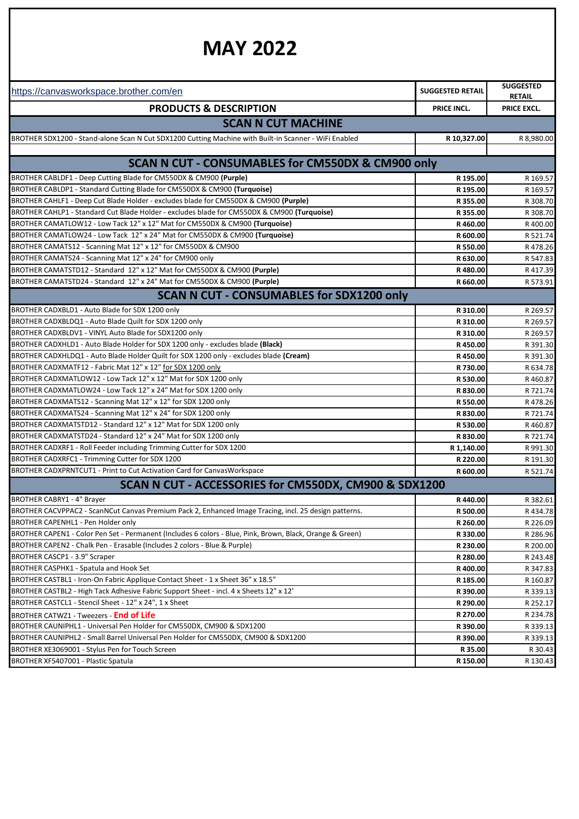## **MAY 2022**

| <b>SUGGESTED</b><br><b>SUGGESTED RETAIL</b><br><b>RETAIL</b><br><b>PRODUCTS &amp; DESCRIPTION</b><br>PRICE EXCL.<br>PRICE INCL.<br><b>SCAN N CUT MACHINE</b><br>R 10,327.00<br>R 8,980.00<br>SCAN N CUT - CONSUMABLES for CM550DX & CM900 only<br>R 195.00<br>R 169.57<br>R 195.00<br>R 169.57<br>BROTHER CAHLF1 - Deep Cut Blade Holder - excludes blade for CM550DX & CM900 (Purple)<br>R 355.00<br>R 355.00<br>R 308.70<br>R460.00<br>R400.00<br>R 600.00<br>R 521.74<br>R 550.00<br>R478.26<br>BROTHER CAMATS24 - Scanning Mat 12" x 24" for CM900 only<br>R630.00<br>R 547.83<br>BROTHER CAMATSTD12 - Standard 12" x 12" Mat for CM550DX & CM900 (Purple)<br>R480.00<br>BROTHER CAMATSTD24 - Standard 12" x 24" Mat for CM550DX & CM900 (Purple)<br>R 660.00<br>R 573.91<br><b>SCAN N CUT - CONSUMABLES for SDX1200 only</b><br>R 310.00<br>R 269.57<br>R 310.00<br>R 269.57<br>R 310.00<br>R 269.57<br>R450.00<br>R450.00<br>R 730.00<br>R 634.78<br>R 530.00<br>R460.87<br>R 830.00<br>R 721.74<br>R 550.00<br>R478.26<br>R 830.00<br>R 721.74<br>R 530.00<br>R460.87<br>R 721.74<br>R 830.00<br>R 991.30<br>R 1,140.00<br>R 220.00<br>R 600.00<br>R 521.74<br>SCAN N CUT - ACCESSORIES for CM550DX, CM900 & SDX1200<br>R440.00<br>R 382.61<br>R 500.00<br>R 260.00<br>R 330.00<br>R 230.00<br>R 280.00<br>R400.00<br>R 185.00<br>R 390.00<br>R 290.00<br>R 270.00<br>R 390.00<br>R 390.00<br>R 35.00 |                                                                                                           |          |          |  |
|--------------------------------------------------------------------------------------------------------------------------------------------------------------------------------------------------------------------------------------------------------------------------------------------------------------------------------------------------------------------------------------------------------------------------------------------------------------------------------------------------------------------------------------------------------------------------------------------------------------------------------------------------------------------------------------------------------------------------------------------------------------------------------------------------------------------------------------------------------------------------------------------------------------------------------------------------------------------------------------------------------------------------------------------------------------------------------------------------------------------------------------------------------------------------------------------------------------------------------------------------------------------------------------------------------------------------------------------------------------------------------------------------------------|-----------------------------------------------------------------------------------------------------------|----------|----------|--|
|                                                                                                                                                                                                                                                                                                                                                                                                                                                                                                                                                                                                                                                                                                                                                                                                                                                                                                                                                                                                                                                                                                                                                                                                                                                                                                                                                                                                              | https://canvasworkspace.brother.com/en                                                                    |          |          |  |
|                                                                                                                                                                                                                                                                                                                                                                                                                                                                                                                                                                                                                                                                                                                                                                                                                                                                                                                                                                                                                                                                                                                                                                                                                                                                                                                                                                                                              |                                                                                                           |          |          |  |
|                                                                                                                                                                                                                                                                                                                                                                                                                                                                                                                                                                                                                                                                                                                                                                                                                                                                                                                                                                                                                                                                                                                                                                                                                                                                                                                                                                                                              |                                                                                                           |          |          |  |
|                                                                                                                                                                                                                                                                                                                                                                                                                                                                                                                                                                                                                                                                                                                                                                                                                                                                                                                                                                                                                                                                                                                                                                                                                                                                                                                                                                                                              | BROTHER SDX1200 - Stand-alone Scan N Cut SDX1200 Cutting Machine with Built-in Scanner - WiFi Enabled     |          |          |  |
|                                                                                                                                                                                                                                                                                                                                                                                                                                                                                                                                                                                                                                                                                                                                                                                                                                                                                                                                                                                                                                                                                                                                                                                                                                                                                                                                                                                                              |                                                                                                           |          |          |  |
|                                                                                                                                                                                                                                                                                                                                                                                                                                                                                                                                                                                                                                                                                                                                                                                                                                                                                                                                                                                                                                                                                                                                                                                                                                                                                                                                                                                                              |                                                                                                           |          |          |  |
|                                                                                                                                                                                                                                                                                                                                                                                                                                                                                                                                                                                                                                                                                                                                                                                                                                                                                                                                                                                                                                                                                                                                                                                                                                                                                                                                                                                                              | BROTHER CABLDF1 - Deep Cutting Blade for CM550DX & CM900 (Purple)                                         |          |          |  |
|                                                                                                                                                                                                                                                                                                                                                                                                                                                                                                                                                                                                                                                                                                                                                                                                                                                                                                                                                                                                                                                                                                                                                                                                                                                                                                                                                                                                              | BROTHER CABLDP1 - Standard Cutting Blade for CM550DX & CM900 (Turquoise)                                  |          |          |  |
|                                                                                                                                                                                                                                                                                                                                                                                                                                                                                                                                                                                                                                                                                                                                                                                                                                                                                                                                                                                                                                                                                                                                                                                                                                                                                                                                                                                                              |                                                                                                           |          | R 308.70 |  |
|                                                                                                                                                                                                                                                                                                                                                                                                                                                                                                                                                                                                                                                                                                                                                                                                                                                                                                                                                                                                                                                                                                                                                                                                                                                                                                                                                                                                              | BROTHER CAHLP1 - Standard Cut Blade Holder - excludes blade for CM550DX & CM900 (Turquoise)               |          |          |  |
|                                                                                                                                                                                                                                                                                                                                                                                                                                                                                                                                                                                                                                                                                                                                                                                                                                                                                                                                                                                                                                                                                                                                                                                                                                                                                                                                                                                                              | BROTHER CAMATLOW12 - Low Tack 12" x 12" Mat for CM550DX & CM900 (Turquoise)                               |          |          |  |
|                                                                                                                                                                                                                                                                                                                                                                                                                                                                                                                                                                                                                                                                                                                                                                                                                                                                                                                                                                                                                                                                                                                                                                                                                                                                                                                                                                                                              | BROTHER CAMATLOW24 - Low Tack 12" x 24" Mat for CM550DX & CM900 (Turquoise)                               |          |          |  |
|                                                                                                                                                                                                                                                                                                                                                                                                                                                                                                                                                                                                                                                                                                                                                                                                                                                                                                                                                                                                                                                                                                                                                                                                                                                                                                                                                                                                              | BROTHER CAMATS12 - Scanning Mat 12" x 12" for CM550DX & CM900                                             |          |          |  |
|                                                                                                                                                                                                                                                                                                                                                                                                                                                                                                                                                                                                                                                                                                                                                                                                                                                                                                                                                                                                                                                                                                                                                                                                                                                                                                                                                                                                              |                                                                                                           |          |          |  |
|                                                                                                                                                                                                                                                                                                                                                                                                                                                                                                                                                                                                                                                                                                                                                                                                                                                                                                                                                                                                                                                                                                                                                                                                                                                                                                                                                                                                              |                                                                                                           |          | R417.39  |  |
|                                                                                                                                                                                                                                                                                                                                                                                                                                                                                                                                                                                                                                                                                                                                                                                                                                                                                                                                                                                                                                                                                                                                                                                                                                                                                                                                                                                                              |                                                                                                           |          |          |  |
|                                                                                                                                                                                                                                                                                                                                                                                                                                                                                                                                                                                                                                                                                                                                                                                                                                                                                                                                                                                                                                                                                                                                                                                                                                                                                                                                                                                                              |                                                                                                           |          |          |  |
|                                                                                                                                                                                                                                                                                                                                                                                                                                                                                                                                                                                                                                                                                                                                                                                                                                                                                                                                                                                                                                                                                                                                                                                                                                                                                                                                                                                                              | BROTHER CADXBLD1 - Auto Blade for SDX 1200 only                                                           |          |          |  |
|                                                                                                                                                                                                                                                                                                                                                                                                                                                                                                                                                                                                                                                                                                                                                                                                                                                                                                                                                                                                                                                                                                                                                                                                                                                                                                                                                                                                              | BROTHER CADXBLDQ1 - Auto Blade Quilt for SDX 1200 only                                                    |          |          |  |
|                                                                                                                                                                                                                                                                                                                                                                                                                                                                                                                                                                                                                                                                                                                                                                                                                                                                                                                                                                                                                                                                                                                                                                                                                                                                                                                                                                                                              | BROTHER CADXBLDV1 - VINYL Auto Blade for SDX1200 only                                                     |          |          |  |
|                                                                                                                                                                                                                                                                                                                                                                                                                                                                                                                                                                                                                                                                                                                                                                                                                                                                                                                                                                                                                                                                                                                                                                                                                                                                                                                                                                                                              | BROTHER CADXHLD1 - Auto Blade Holder for SDX 1200 only - excludes blade (Black)                           |          | R 391.30 |  |
|                                                                                                                                                                                                                                                                                                                                                                                                                                                                                                                                                                                                                                                                                                                                                                                                                                                                                                                                                                                                                                                                                                                                                                                                                                                                                                                                                                                                              | BROTHER CADXHLDQ1 - Auto Blade Holder Quilt for SDX 1200 only - excludes blade (Cream)                    |          | R 391.30 |  |
|                                                                                                                                                                                                                                                                                                                                                                                                                                                                                                                                                                                                                                                                                                                                                                                                                                                                                                                                                                                                                                                                                                                                                                                                                                                                                                                                                                                                              | BROTHER CADXMATF12 - Fabric Mat 12" x 12" for SDX 1200 only                                               |          |          |  |
|                                                                                                                                                                                                                                                                                                                                                                                                                                                                                                                                                                                                                                                                                                                                                                                                                                                                                                                                                                                                                                                                                                                                                                                                                                                                                                                                                                                                              | BROTHER CADXMATLOW12 - Low Tack 12" x 12" Mat for SDX 1200 only                                           |          |          |  |
|                                                                                                                                                                                                                                                                                                                                                                                                                                                                                                                                                                                                                                                                                                                                                                                                                                                                                                                                                                                                                                                                                                                                                                                                                                                                                                                                                                                                              | BROTHER CADXMATLOW24 - Low Tack 12" x 24" Mat for SDX 1200 only                                           |          |          |  |
|                                                                                                                                                                                                                                                                                                                                                                                                                                                                                                                                                                                                                                                                                                                                                                                                                                                                                                                                                                                                                                                                                                                                                                                                                                                                                                                                                                                                              | BROTHER CADXMATS12 - Scanning Mat 12" x 12" for SDX 1200 only                                             |          |          |  |
|                                                                                                                                                                                                                                                                                                                                                                                                                                                                                                                                                                                                                                                                                                                                                                                                                                                                                                                                                                                                                                                                                                                                                                                                                                                                                                                                                                                                              | BROTHER CADXMATS24 - Scanning Mat 12" x 24" for SDX 1200 only                                             |          |          |  |
|                                                                                                                                                                                                                                                                                                                                                                                                                                                                                                                                                                                                                                                                                                                                                                                                                                                                                                                                                                                                                                                                                                                                                                                                                                                                                                                                                                                                              | BROTHER CADXMATSTD12 - Standard 12" x 12" Mat for SDX 1200 only                                           |          |          |  |
|                                                                                                                                                                                                                                                                                                                                                                                                                                                                                                                                                                                                                                                                                                                                                                                                                                                                                                                                                                                                                                                                                                                                                                                                                                                                                                                                                                                                              | BROTHER CADXMATSTD24 - Standard 12" x 24" Mat for SDX 1200 only                                           |          |          |  |
|                                                                                                                                                                                                                                                                                                                                                                                                                                                                                                                                                                                                                                                                                                                                                                                                                                                                                                                                                                                                                                                                                                                                                                                                                                                                                                                                                                                                              | BROTHER CADXRF1 - Roll Feeder including Trimming Cutter for SDX 1200                                      |          |          |  |
|                                                                                                                                                                                                                                                                                                                                                                                                                                                                                                                                                                                                                                                                                                                                                                                                                                                                                                                                                                                                                                                                                                                                                                                                                                                                                                                                                                                                              | BROTHER CADXRFC1 - Trimming Cutter for SDX 1200                                                           |          | R 191.30 |  |
|                                                                                                                                                                                                                                                                                                                                                                                                                                                                                                                                                                                                                                                                                                                                                                                                                                                                                                                                                                                                                                                                                                                                                                                                                                                                                                                                                                                                              | BROTHER CADXPRNTCUT1 - Print to Cut Activation Card for CanvasWorkspace                                   |          |          |  |
|                                                                                                                                                                                                                                                                                                                                                                                                                                                                                                                                                                                                                                                                                                                                                                                                                                                                                                                                                                                                                                                                                                                                                                                                                                                                                                                                                                                                              |                                                                                                           |          |          |  |
|                                                                                                                                                                                                                                                                                                                                                                                                                                                                                                                                                                                                                                                                                                                                                                                                                                                                                                                                                                                                                                                                                                                                                                                                                                                                                                                                                                                                              | <b>BROTHER CABRY1 - 4" Brayer</b>                                                                         |          |          |  |
|                                                                                                                                                                                                                                                                                                                                                                                                                                                                                                                                                                                                                                                                                                                                                                                                                                                                                                                                                                                                                                                                                                                                                                                                                                                                                                                                                                                                              | BROTHER CACVPPAC2 - ScanNCut Canvas Premium Pack 2, Enhanced Image Tracing, incl. 25 design patterns.     |          | R434.78  |  |
|                                                                                                                                                                                                                                                                                                                                                                                                                                                                                                                                                                                                                                                                                                                                                                                                                                                                                                                                                                                                                                                                                                                                                                                                                                                                                                                                                                                                              | BROTHER CAPENHL1 - Pen Holder only                                                                        |          | R 226.09 |  |
|                                                                                                                                                                                                                                                                                                                                                                                                                                                                                                                                                                                                                                                                                                                                                                                                                                                                                                                                                                                                                                                                                                                                                                                                                                                                                                                                                                                                              | BROTHER CAPEN1 - Color Pen Set - Permanent (Includes 6 colors - Blue, Pink, Brown, Black, Orange & Green) |          | R 286.96 |  |
|                                                                                                                                                                                                                                                                                                                                                                                                                                                                                                                                                                                                                                                                                                                                                                                                                                                                                                                                                                                                                                                                                                                                                                                                                                                                                                                                                                                                              | BROTHER CAPEN2 - Chalk Pen - Erasable (Includes 2 colors - Blue & Purple)                                 |          | R 200.00 |  |
|                                                                                                                                                                                                                                                                                                                                                                                                                                                                                                                                                                                                                                                                                                                                                                                                                                                                                                                                                                                                                                                                                                                                                                                                                                                                                                                                                                                                              | BROTHER CASCP1 - 3.9" Scraper                                                                             |          | R 243.48 |  |
|                                                                                                                                                                                                                                                                                                                                                                                                                                                                                                                                                                                                                                                                                                                                                                                                                                                                                                                                                                                                                                                                                                                                                                                                                                                                                                                                                                                                              | BROTHER CASPHK1 - Spatula and Hook Set                                                                    |          | R 347.83 |  |
|                                                                                                                                                                                                                                                                                                                                                                                                                                                                                                                                                                                                                                                                                                                                                                                                                                                                                                                                                                                                                                                                                                                                                                                                                                                                                                                                                                                                              | BROTHER CASTBL1 - Iron-On Fabric Applique Contact Sheet - 1 x Sheet 36" x 18.5"                           |          | R 160.87 |  |
|                                                                                                                                                                                                                                                                                                                                                                                                                                                                                                                                                                                                                                                                                                                                                                                                                                                                                                                                                                                                                                                                                                                                                                                                                                                                                                                                                                                                              | BROTHER CASTBL2 - High Tack Adhesive Fabric Support Sheet - incl. 4 x Sheets 12" x 12'                    |          | R 339.13 |  |
|                                                                                                                                                                                                                                                                                                                                                                                                                                                                                                                                                                                                                                                                                                                                                                                                                                                                                                                                                                                                                                                                                                                                                                                                                                                                                                                                                                                                              | BROTHER CASTCL1 - Stencil Sheet - 12" x 24", 1 x Sheet                                                    |          | R 252.17 |  |
|                                                                                                                                                                                                                                                                                                                                                                                                                                                                                                                                                                                                                                                                                                                                                                                                                                                                                                                                                                                                                                                                                                                                                                                                                                                                                                                                                                                                              | BROTHER CATWZ1 - Tweezers - <b>End of Life</b>                                                            |          | R 234.78 |  |
|                                                                                                                                                                                                                                                                                                                                                                                                                                                                                                                                                                                                                                                                                                                                                                                                                                                                                                                                                                                                                                                                                                                                                                                                                                                                                                                                                                                                              | BROTHER CAUNIPHL1 - Universal Pen Holder for CM550DX, CM900 & SDX1200                                     |          | R 339.13 |  |
|                                                                                                                                                                                                                                                                                                                                                                                                                                                                                                                                                                                                                                                                                                                                                                                                                                                                                                                                                                                                                                                                                                                                                                                                                                                                                                                                                                                                              | BROTHER CAUNIPHL2 - Small Barrel Universal Pen Holder for CM550DX, CM900 & SDX1200                        |          | R 339.13 |  |
|                                                                                                                                                                                                                                                                                                                                                                                                                                                                                                                                                                                                                                                                                                                                                                                                                                                                                                                                                                                                                                                                                                                                                                                                                                                                                                                                                                                                              | BROTHER XE3069001 - Stylus Pen for Touch Screen                                                           |          | R 30.43  |  |
|                                                                                                                                                                                                                                                                                                                                                                                                                                                                                                                                                                                                                                                                                                                                                                                                                                                                                                                                                                                                                                                                                                                                                                                                                                                                                                                                                                                                              | BROTHER XF5407001 - Plastic Spatula                                                                       | R 150.00 | R 130.43 |  |